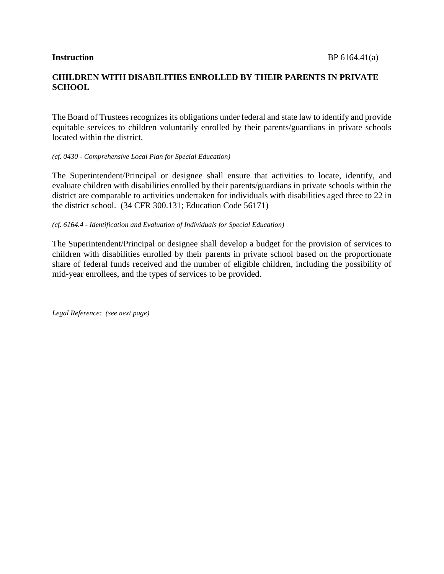# **CHILDREN WITH DISABILITIES ENROLLED BY THEIR PARENTS IN PRIVATE SCHOOL**

The Board of Trustees recognizes its obligations under federal and state law to identify and provide equitable services to children voluntarily enrolled by their parents/guardians in private schools located within the district.

#### *(cf. 0430 - Comprehensive Local Plan for Special Education)*

The Superintendent/Principal or designee shall ensure that activities to locate, identify, and evaluate children with disabilities enrolled by their parents/guardians in private schools within the district are comparable to activities undertaken for individuals with disabilities aged three to 22 in the district school. (34 CFR 300.131; Education Code 56171)

#### *(cf. 6164.4 - Identification and Evaluation of Individuals for Special Education)*

The Superintendent/Principal or designee shall develop a budget for the provision of services to children with disabilities enrolled by their parents in private school based on the proportionate share of federal funds received and the number of eligible children, including the possibility of mid-year enrollees, and the types of services to be provided.

*Legal Reference: (see next page)*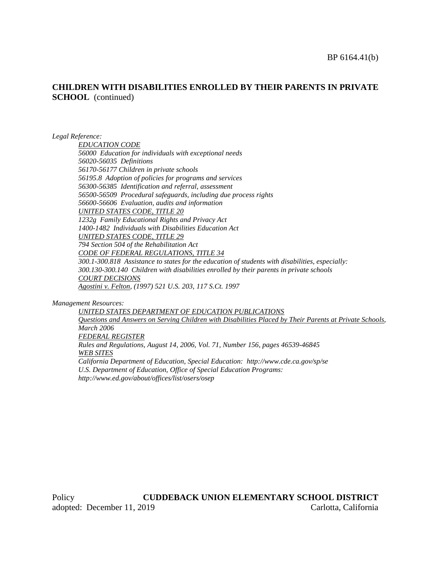## **CHILDREN WITH DISABILITIES ENROLLED BY THEIR PARENTS IN PRIVATE SCHOOL** (continued)

*Legal Reference:*

*EDUCATION CODE 56000 Education for individuals with exceptional needs 56020-56035 Definitions 56170-56177 Children in private schools 56195.8 Adoption of policies for programs and services 56300-56385 Identification and referral, assessment 56500-56509 Procedural safeguards, including due process rights 56600-56606 Evaluation, audits and information UNITED STATES CODE, TITLE 20 1232g Family Educational Rights and Privacy Act 1400-1482 Individuals with Disabilities Education Act UNITED STATES CODE, TITLE 29 794 Section 504 of the Rehabilitation Act CODE OF FEDERAL REGULATIONS, TITLE 34 300.1-300.818 Assistance to states for the education of students with disabilities, especially: 300.130-300.140 Children with disabilities enrolled by their parents in private schools COURT DECISIONS Agostini v. Felton, (1997) 521 U.S. 203, 117 S.Ct. 1997*

#### *Management Resources:*

*UNITED STATES DEPARTMENT OF EDUCATION PUBLICATIONS Questions and Answers on Serving Children with Disabilities Placed by Their Parents at Private Schools, March 2006 FEDERAL REGISTER Rules and Regulations, August 14, 2006, Vol. 71, Number 156, pages 46539-46845 WEB SITES California Department of Education, Special Education: http://www.cde.ca.gov/sp/se U.S. Department of Education, Office of Special Education Programs: http://www.ed.gov/about/offices/list/osers/osep*

Policy **CUDDEBACK UNION ELEMENTARY SCHOOL DISTRICT** adopted: December 11, 2019 Carlotta, California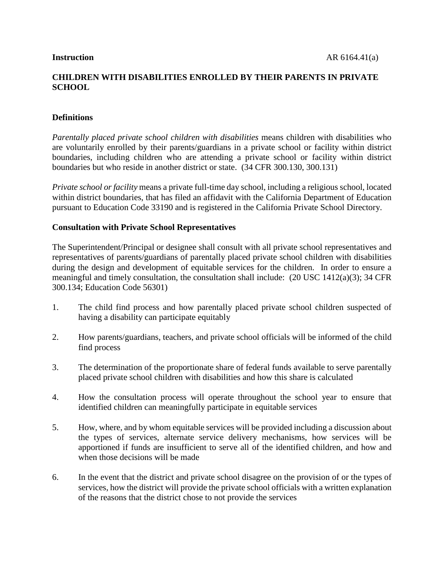# **CHILDREN WITH DISABILITIES ENROLLED BY THEIR PARENTS IN PRIVATE SCHOOL**

# **Definitions**

*Parentally placed private school children with disabilities* means children with disabilities who are voluntarily enrolled by their parents/guardians in a private school or facility within district boundaries, including children who are attending a private school or facility within district boundaries but who reside in another district or state. (34 CFR 300.130, 300.131)

*Private school or facility* means a private full-time day school, including a religious school, located within district boundaries, that has filed an affidavit with the California Department of Education pursuant to Education Code 33190 and is registered in the California Private School Directory.

## **Consultation with Private School Representatives**

The Superintendent/Principal or designee shall consult with all private school representatives and representatives of parents/guardians of parentally placed private school children with disabilities during the design and development of equitable services for the children. In order to ensure a meaningful and timely consultation, the consultation shall include: (20 USC 1412(a)(3); 34 CFR 300.134; Education Code 56301)

- 1. The child find process and how parentally placed private school children suspected of having a disability can participate equitably
- 2. How parents/guardians, teachers, and private school officials will be informed of the child find process
- 3. The determination of the proportionate share of federal funds available to serve parentally placed private school children with disabilities and how this share is calculated
- 4. How the consultation process will operate throughout the school year to ensure that identified children can meaningfully participate in equitable services
- 5. How, where, and by whom equitable services will be provided including a discussion about the types of services, alternate service delivery mechanisms, how services will be apportioned if funds are insufficient to serve all of the identified children, and how and when those decisions will be made
- 6. In the event that the district and private school disagree on the provision of or the types of services, how the district will provide the private school officials with a written explanation of the reasons that the district chose to not provide the services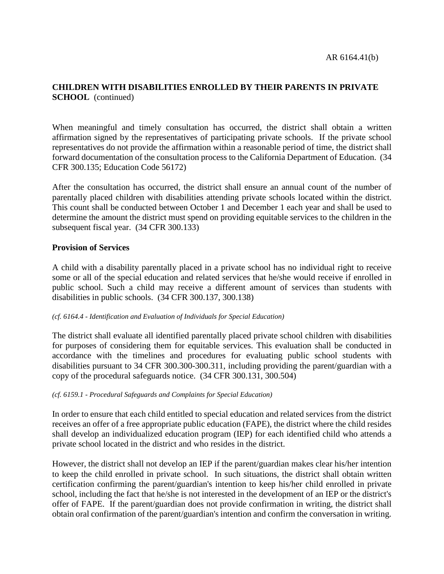# **CHILDREN WITH DISABILITIES ENROLLED BY THEIR PARENTS IN PRIVATE SCHOOL** (continued)

When meaningful and timely consultation has occurred, the district shall obtain a written affirmation signed by the representatives of participating private schools. If the private school representatives do not provide the affirmation within a reasonable period of time, the district shall forward documentation of the consultation process to the California Department of Education. (34 CFR 300.135; Education Code 56172)

After the consultation has occurred, the district shall ensure an annual count of the number of parentally placed children with disabilities attending private schools located within the district. This count shall be conducted between October 1 and December 1 each year and shall be used to determine the amount the district must spend on providing equitable services to the children in the subsequent fiscal year. (34 CFR 300.133)

## **Provision of Services**

A child with a disability parentally placed in a private school has no individual right to receive some or all of the special education and related services that he/she would receive if enrolled in public school. Such a child may receive a different amount of services than students with disabilities in public schools. (34 CFR 300.137, 300.138)

#### *(cf. 6164.4 - Identification and Evaluation of Individuals for Special Education)*

The district shall evaluate all identified parentally placed private school children with disabilities for purposes of considering them for equitable services. This evaluation shall be conducted in accordance with the timelines and procedures for evaluating public school students with disabilities pursuant to 34 CFR 300.300-300.311, including providing the parent/guardian with a copy of the procedural safeguards notice. (34 CFR 300.131, 300.504)

#### *(cf. 6159.1 - Procedural Safeguards and Complaints for Special Education)*

In order to ensure that each child entitled to special education and related services from the district receives an offer of a free appropriate public education (FAPE), the district where the child resides shall develop an individualized education program (IEP) for each identified child who attends a private school located in the district and who resides in the district.

However, the district shall not develop an IEP if the parent/guardian makes clear his/her intention to keep the child enrolled in private school. In such situations, the district shall obtain written certification confirming the parent/guardian's intention to keep his/her child enrolled in private school, including the fact that he/she is not interested in the development of an IEP or the district's offer of FAPE. If the parent/guardian does not provide confirmation in writing, the district shall obtain oral confirmation of the parent/guardian's intention and confirm the conversation in writing.